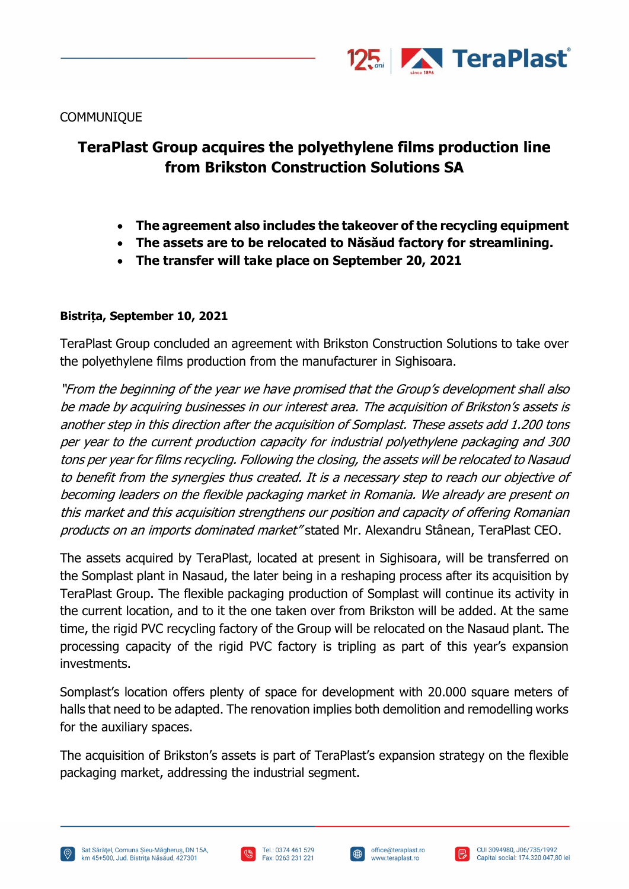

**COMMUNIQUE** 

## **TeraPlast Group acquires the polyethylene films production line from Brikston Construction Solutions SA**

- **The agreement also includes the takeover of the recycling equipment**
- **The assets are to be relocated to Năsăud factory for streamlining.**
- **The transfer will take place on September 20, 2021**

## **Bistrița, September 10, 2021**

TeraPlast Group concluded an agreement with Brikston Construction Solutions to take over the polyethylene films production from the manufacturer in Sighisoara.

"From the beginning of the year we have promised that the Group's development shall also be made by acquiring businesses in our interest area. The acquisition of Brikston's assets is another step in this direction after the acquisition of Somplast. These assets add 1.200 tons per year to the current production capacity for industrial polyethylene packaging and 300 tons per year for films recycling. Following the closing, the assets will be relocated to Nasaud to benefit from the synergies thus created. It is a necessary step to reach our objective of becoming leaders on the flexible packaging market in Romania. We already are present on this market and this acquisition strengthens our position and capacity of offering Romanian products on an imports dominated market" stated Mr. Alexandru Stânean, TeraPlast CEO.

The assets acquired by TeraPlast, located at present in Sighisoara, will be transferred on the Somplast plant in Nasaud, the later being in a reshaping process after its acquisition by TeraPlast Group. The flexible packaging production of Somplast will continue its activity in the current location, and to it the one taken over from Brikston will be added. At the same time, the rigid PVC recycling factory of the Group will be relocated on the Nasaud plant. The processing capacity of the rigid PVC factory is tripling as part of this year's expansion investments.

Somplast's location offers plenty of space for development with 20.000 square meters of halls that need to be adapted. The renovation implies both demolition and remodelling works for the auxiliary spaces.

The acquisition of Brikston's assets is part of TeraPlast's expansion strategy on the flexible packaging market, addressing the industrial segment.